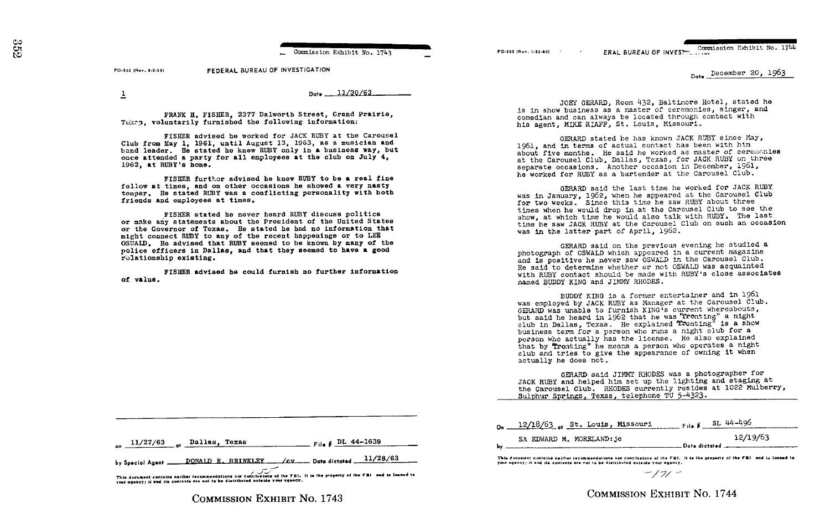Commission Exhibit No. 1743

FEDERAL BUREAU OF INVESTIGATION FD-302 (Rev. 3-3-39)

 $\overline{1}$ 

-on

Date 11/30/63

FRANK H. FISHER. 2377 Dalworth Street, Grand Prairie. Tokes, voluntarily furnished the following information:

FISHER advised he worked for JACK RUBY at the Carousel Club from May 1, 1961, until August 13, 1963, as a musician and band leader. He stated he knew RUBY only in a business way, but once attended a party for all employees at the club on July 4, 1962. at RUBY's home.

FISHER further advised he knew RUBY to be a real fine fellow at times, and on other occasions he showed a very nasty temper. He stated RUBY was a conflicting personality with both friends and employees at times.

FISHER stated he never heard RUBY discuss politics or make any statements about the President of the United States or the Governor of Texas. He stated he had no information that might connect RUBY to any of the recent happenings or to LEE OSWALD. He advised that RUBY seemed to be known by many of the police officers in Dallas, and that they seemed to have a good rolationship existing.

FISHER advised he could furnish no further information of value.

ERAL BUREAU OF INVEST. Commission Exhibit No. 1744 **ED-302 (Bev. 1-25-60)** 

Date December 20, 1963

JOEY GERARD, Room 432, Baltimore Hotel, stated he is in show business as a master of ceremonies, singer, and comedian and can always be located through contact with his agent, MIKE RIAFF, St. Louis, Missouri.

GERARD stated he has known JACK RUBY since May, 1961, and in terms of actual contact has been with him about five months. He said he worked as master of ceremonies at the Carousel Club, Dallas, Texas, for JACK RUBY on three separate occasions. Another occasion in December, 1961, he worked for RUBY as a bartender at the Carousel Club.

GERARD said the last time he worked for JACK RUBY was in January, 1962, when he appeared at the Carousel Club for two weeks. Since this time he saw RUBY about three times when he would drop in at the Carousel Club to see the show, at which time he would also talk with RUBY. The last time he saw JACK RUBY at the Carousel Club on such an occasion was in the latter part of April, 1962.

GERARD said on the previous evening he studied a photograph of OSWALD which appeared in a current magazine and is positive he never saw OSWALD in the Carousel Club. He said to determine whether or not OSWALD was acquainted with RUBY contact should be made with RUBY's close associates named BUDDY KING and JIMMY RHODES.

BUDDY KING is a former entertainer and in 1961 was employed by JACK RUBY as Manager at the Carousel Club. GERARD was unable to furnish KING's current whereabouts, but said he heard in 1962 that he was "fronting" a night club in Dallas, Texas. He explained Tronting" is a show business term for a person who runs a night club for a person who actually has the license. He also explained that by Tronting" he means a person who operates a night club and tries to give the appearance of owning it when actually he does not.

GERARD said JIMMY RHODES was a photographer for JACK RUBY and helped him set up the lighting and staging at the Carousel Club. RHODES currently resides at 1022 Mulberry, Sulphur Springs, Texas, telephone TU 5-4323.

|  | $11/27/63$ pallas, Texas | $F = 10$ $\mu$ DL 44-1639 |
|--|--------------------------|---------------------------|
|--|--------------------------|---------------------------|

 $\angle$ CV  $\_\_\_\$ Date dictated  $\_\_\_\_1/28/63$ DONALD E. BRINKLEY by Special Agent

This document contains neither recommendations nor conclusions of the FBI. It is the property of the FBI and is losned to your agency! It and its contents are not to be distributed outside your agency.

**COMMISSION EXHIBIT NO. 1743** 

|           | 0 <sub>2</sub> 12/18/63 st. Louis, Missouri | $F_{\text{the}}$ # SL 44-496 |
|-----------|---------------------------------------------|------------------------------|
|           | SA EDWARD M. MORELAND: jc                   | 12/19/63                     |
| <b>DV</b> |                                             | Date dictated                |

This document contains neither recommendations not conclusions of the FBI. It is the property of the FBI and is loaned to your agency; it and its contents are not to be distributed outside your agency.

 $-171 -$ 

## **COMMISSION EXHIBIT NO. 1744**